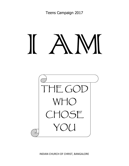# **VII** ı



INDIAN CHURCH OF CHRIST, BANGALORE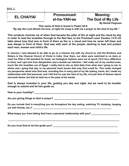**DAY 1** 

## **EL CHAIYAI Pronounced:** Meaning:<br> **EL CHAIYAI RI-ha-YAH-ee** The God of My

## **The God of My Life**

*By Rachel Ferguson*

**This name of God is found in Psalm 42:8.**

*"By day the Lord directs his love, at night his song is with me a prayer to the God of my life."*

**This scripture reminds me of when God became the pillar of fire at night and the cloud by day in order to lead the Israelites through to the Red Sea, to the Promised Land. Exodus 13:21-22 talks about how God was in front of them as fire or a cloud and how he never left them and was always in front of them. God was with each of the people, desiring to lead and protect each man, woman and child's life.**

**In January, I was blessed to be able to go on a mission trip with my church to visit the Brothers and Sisters in the Chennai Church of Christ in India. Over there, our diets were restricted to no dairy or meat (no FDA or US standard for food), our biological rhythms were out of synch (10.5 hour difference in time), and I got sick from dehydration and a double ear infection. I felt really out of my comfort zone, much like the Israelites out of Egypt. I really had to rely on God daily from what was I going to eat, to where was I going that day, to my personal heart issues that only God could fix. This really changed my perspective about who God was, including him in every part of my life (eating, travel, etc.) made my relationship with God personal, and I felt that he was the God of my life, not just God of Heaven above and earth below, but that he held me in the palm of his hands.**

**God is always invested in your life, guiding you day and night, but we need to be humble enough to submit and let him guide us.**

How is your humility?

**Are you giving things to God in prayer? \_\_\_\_\_\_\_\_\_\_\_\_\_\_\_\_\_\_\_\_\_\_\_\_\_\_\_\_\_\_\_\_\_\_\_\_\_\_\_\_\_\_\_\_\_\_\_\_**

| Do you include God in everything you do throughout the day (eating, watching TV, studying, hanging |  |  |  |
|----------------------------------------------------------------------------------------------------|--|--|--|
| out with friends, etc.)?                                                                           |  |  |  |

**\_\_\_\_\_\_\_\_\_\_\_\_\_\_\_\_\_\_\_\_\_\_\_\_\_\_\_\_\_\_\_\_\_\_\_\_\_\_\_\_\_\_\_\_\_\_\_\_\_\_\_\_\_\_\_\_\_\_\_\_\_\_\_\_\_\_\_\_\_\_\_\_\_\_\_\_\_\_\_**

**\_\_\_\_\_\_\_\_\_\_\_\_\_\_\_\_\_\_\_\_\_\_\_\_\_\_\_\_\_\_\_\_\_\_\_\_\_\_\_\_\_\_\_\_\_\_\_\_\_\_\_\_\_\_\_\_\_\_\_\_\_\_\_\_\_\_\_\_\_\_\_\_\_\_\_\_\_\_\_**

What keeps you from letting God have a personal relationship with you?

**Do you trust God to let him guide you? \_\_\_\_\_\_\_\_\_\_\_\_\_\_\_\_\_\_\_\_\_\_\_\_\_\_\_\_\_\_\_\_\_\_\_\_\_\_\_\_\_\_\_\_\_\_\_\_**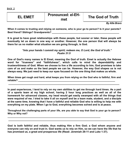| <b>EL EMET</b> | <b>Pronounced: el-EH-</b><br>met | The God of Truth      |
|----------------|----------------------------------|-----------------------|
|                |                                  | <b>D., Allia D., </b> |

*By Allie Bravo*

**When it comes to trusting and relying on someone, who is your go to person? Is it your parents?** Best friend? Siblings? Grandparents?

**It is great to have great relationships with these people, but sooner or later, these people will eventually let us down in one way or another. However, the one person that will always be there for us no matter what situation we are going through, is God.**

### *"Into your hands I commit my spirit; redeem me, O Lord, the God of truth." Psalm 31:5*

**One of God's many names is El Emet, meaning the God of truth. Emet is actually the Hebrew word for "trueness" and "faithfulness", which calls to mind the dependability and trustworthiness of God. When we choose to live a life according to him, God promises to take care of us and make us the best people we can be. However, the way God shapes us is not always easy. We just need to keep our eyes focused on the one thing that makes us whole.**

**When times get rough and hard, what keeps you from relying on the God who is faithful, firm and reliable? \_\_\_\_\_\_\_\_\_\_\_\_\_\_\_\_\_\_\_\_\_\_\_\_\_\_\_\_\_\_\_\_\_\_\_\_\_\_\_\_\_\_\_\_\_\_\_\_\_\_\_\_\_\_\_\_\_\_\_\_\_\_\_\_\_\_\_\_\_\_\_\_**

**\_\_\_\_\_\_\_\_\_\_\_\_\_\_\_\_\_\_\_\_\_\_\_\_\_\_\_\_\_\_\_\_\_\_\_\_\_\_\_\_\_\_\_\_\_\_\_\_\_\_\_\_\_\_\_\_\_\_\_\_\_\_\_\_\_\_\_\_\_\_\_\_\_\_\_\_\_\_\_**

**In past experiences, I tend to rely on my own abilities to get me through hard times. As a part of a sports team at my high school, having 2 hour long practices as well as all of the homework for advanced classes, my head would get easily swamped with all the things that were required of me. I tried to take it all on myself and be a team mate, student, and a disciple at the same time, knowing that I have a faithful and reliable God who is willing to help me with everything on my plate. When I go to God, everything becomes solved and is at peace.**

**Throughout the challenging parts of your life, are you able to say that God is your go to person? Why or Why not?** 

**\_\_\_\_\_\_\_\_\_\_\_\_\_\_\_\_\_\_\_\_\_\_\_\_\_\_\_\_\_\_\_\_\_\_\_\_\_\_\_\_\_\_\_\_\_\_\_\_\_\_\_\_\_\_\_\_\_\_\_\_\_\_\_\_\_\_\_\_\_\_\_\_\_\_\_\_\_\_\_**

**\_\_\_\_\_\_\_\_\_\_\_\_\_\_\_\_\_\_\_\_\_\_\_\_\_\_\_\_\_\_\_\_\_\_\_\_\_\_\_\_\_\_\_\_\_\_\_\_\_\_\_\_\_\_\_\_\_\_\_\_\_\_\_\_\_\_\_\_\_**

**God is both faithful and reliable, thus making Him a firm God; a God whom anyone and everyone can rely on and trust in. God wants us to rely on Him, so we can have the life that he has promised us, a great and prosperous life (Read: Jeremiah 29:11 and Luke 1:37).**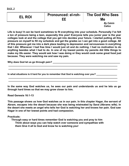| EL ROI | <b>Pronounced: el-roh-</b><br>EЕ | The God Who Sees<br>Me     |
|--------|----------------------------------|----------------------------|
|        |                                  | <b>By Calvin</b><br>Calica |

**Life is busy! It can be hard sometimes to fit everything into your schedule. Personally I've felt a ton of pressure being a teen, especially this year! Everyone tells you junior year is the year colleges look at and the college that you get into decides your future. I started putting all this pressure on myself to fill my schedule and get the grades so I can get into a good college. All of this pressure got me into a dark place leading to depression and nervousness in everything that I did. Whenever I had free time I would just sit and do nothing. I had no motivation to do anything besides what I had to do. In one of my lowest points my parents did little things to make my life easier. They would ask how I was doing or they would cook some great food just because. They were watching me and saw my pain.**

**\_\_\_\_\_\_\_\_\_\_\_\_\_\_\_\_\_\_\_\_\_\_\_\_\_\_\_\_\_\_\_\_\_\_\_\_\_\_\_\_\_\_\_\_\_\_\_\_\_\_\_\_\_\_\_\_\_\_\_\_\_\_\_\_\_\_\_\_\_\_\_\_\_\_\_\_\_\_\_\_\_ \_\_\_\_\_\_\_\_\_\_\_\_\_\_\_\_\_\_\_\_\_\_\_\_\_\_\_\_\_\_\_\_\_\_\_\_\_\_\_\_\_\_\_\_\_\_\_\_\_\_\_\_\_\_\_\_\_\_\_\_\_\_\_\_\_\_\_\_\_\_\_\_\_\_\_\_\_\_\_\_\_**

**\_\_\_\_\_\_\_\_\_\_\_\_\_\_\_\_\_\_\_\_\_\_\_\_\_\_\_\_\_\_\_\_\_\_\_\_\_\_\_\_\_\_\_\_\_\_\_\_\_\_\_\_\_\_\_\_\_\_\_\_\_\_\_\_\_\_\_\_\_\_\_\_\_\_\_\_\_\_\_\_\_ \_\_\_\_\_\_\_\_\_\_\_\_\_\_\_\_\_\_\_\_\_\_\_\_\_\_\_\_\_\_\_\_\_\_\_\_\_\_\_\_\_\_\_\_\_\_\_\_\_\_\_\_\_\_\_\_\_\_\_\_\_\_\_\_\_\_\_\_\_\_\_\_\_\_\_\_\_\_\_\_\_**

**Why does God let us go through pain? \_\_\_\_\_\_\_\_\_\_\_\_\_\_\_\_\_\_\_\_\_\_\_\_\_\_\_\_\_\_\_\_\_\_\_\_\_\_\_\_\_\_\_\_\_\_\_\_\_\_**

In what situations is it hard for you to remember that God is watching over you?

**In the same way God watches us, he sees our pain and understands us and he lets us go through hard times so that we may grow closer to him.**

**Read Genesis 16:1-13**

**This passage shows us how God watches us in our pain. In this chapter Hagar, the servant of Abram, escapes into the desert because she was being mistreated by Sarai (Abrams wife). In the desert she meets an angel who tells her God is watching her and knows her pain. God saw Hagar in one of her lowest points and had compassion.**

**Practicals:**

**DAY 3**

**Through easy or hard times remember God is watching you and pray to him Think about ways you can help watch over someone and sympathize with them Give it all to God and know he is watching you!**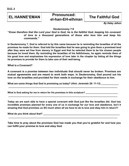## **EL HANNE'EMAN Pronounced: The Faithful God el-han-EH-elhman**

*By Haley Jefson*

**Deuteronomy 7:9**

**"***Know therefore that the Lord your God is God; he is the faithful God, keeping his covenant of love to a thousand generations of those who love him and keep his commands."*

**In Deuteronomy 7, God is referred to by this name because he is reminding the Israelites of all the promises he made for them. God told the Israelites that he was going to give them a promised land after they were set free from slavery in Egypt and that he selected them to be his chosen people because he loved them. By reminding the Israelites of his faithfulness, he again reminds them of his great love and emphasizes his expression of love later in the chapter by listing all the things he promises to provide for them to take care of their well-being.**

**What is a Covenant?**

**A covenant is a promise between two individuals that should never be broken. Promises are mutual agreements and are meant to work both ways. In Deuteronomy, God poured out his love on the Israelites and provided for their needs in exchange for their obedience to him.**

What are some things that God is promising us today? (Hint: Jeremiah 29: 11-13) \_\_\_\_\_\_\_\_\_\_\_\_\_\_\_\_\_\_\_\_\_\_\_\_\_\_\_\_\_\_ **\_\_\_\_\_\_\_\_\_\_\_\_\_\_\_\_\_\_\_\_\_\_\_\_\_\_\_\_\_\_\_\_\_\_\_\_\_\_\_\_\_\_\_\_\_\_\_\_\_\_\_\_\_\_\_\_\_\_\_\_\_\_\_\_\_\_\_\_\_\_\_\_\_\_\_\_\_\_\_\_\_**

**\_\_\_\_\_\_\_\_\_\_\_\_\_\_\_\_\_\_\_\_\_\_\_\_\_\_\_\_\_\_\_\_\_\_\_\_\_\_\_\_\_\_\_\_\_\_\_\_\_\_\_\_\_\_\_\_\_\_\_\_\_\_\_\_\_\_\_\_\_\_\_\_\_\_\_\_\_\_\_\_\_**

What is God asking for me in return for his promises in this scripture? **We arrow that the end-on-**

**Today we are each able to have a special covenant with God just like the Israelites did. God has incredible promises planned for every one of us in exchange for our love and obedience. Isn't it amazing that God promises us SO much when all we have to do is love and obey him in return?!**

What do you think about that?

**Take time to pray about the promises God has made you that you're grateful for and how you can fulfill your promise to love and obey God.**

**\_\_\_\_\_\_\_\_\_\_\_\_\_\_\_\_\_\_\_\_\_\_\_\_\_\_\_\_\_\_\_\_\_\_\_\_\_\_\_\_\_\_\_\_\_\_\_\_\_\_\_\_\_\_\_\_\_\_\_\_\_\_\_\_\_\_\_\_\_\_\_\_\_\_\_\_\_\_\_\_\_**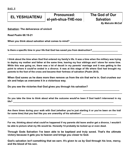### **EL YESHUATENU Pronounced: The God of Our el-yeh-shua-THE-noo**

# *By Malcolm McCall*

**\_\_\_\_\_\_\_\_\_\_\_\_\_\_\_\_\_\_\_\_\_\_\_\_\_\_\_**

**Salvation: The deliverance of sin/evil**

**Read Psalm 68:19-21**

When you think about salvation what comes to mind? \_\_\_\_\_\_\_\_\_\_\_\_\_\_\_\_\_\_\_\_\_\_\_\_\_\_\_\_\_

Is there a specific time in your life that God has saved you from destruction?

**I think about the time when God first entered my family's life. It was a time when the military was trying to deploy my mother and father at the same time, leaving my four siblings and I alone for some time. While this was going on, there was a lot of deceit in my parents' marriage and it was getting to the point to where it could've ended in a divorce. It was at this stage of life where God had brought my parents to the foot of the cross and became their fortress of salvation (Psalm 28:8).**

**\_\_\_\_\_\_\_\_\_\_\_\_\_\_\_\_\_\_\_\_\_\_\_\_\_\_\_\_\_\_\_\_\_\_\_\_\_\_\_\_\_\_\_\_\_\_\_\_\_\_\_\_\_\_\_\_\_\_\_\_\_\_\_\_\_\_\_\_\_\_\_\_\_\_\_\_\_\_\_\_\_**

**\_\_\_\_\_\_\_\_\_\_\_\_\_\_\_\_\_\_\_\_\_\_\_\_\_\_\_\_\_\_\_\_\_\_\_\_\_\_\_\_\_\_\_\_\_\_\_\_\_\_\_\_\_\_\_\_\_\_\_\_\_\_\_\_\_\_\_\_\_\_\_\_\_\_\_\_\_\_\_\_\_**

**When God saves us he does more then remove us from the sin that we're in. God crushes our sin and helps us overcome it in a victorious way.**

**Do you see the victories that God gives you through his salvation?**

**Do you take the time to think about what the outcome would've been if God hadn't intervened in my life? \_\_\_\_\_\_\_\_\_\_\_\_\_\_\_\_\_\_\_\_\_\_\_\_\_\_\_\_\_\_\_\_\_\_\_\_\_\_\_\_\_\_\_\_\_\_\_\_\_\_\_\_\_\_\_\_\_\_\_\_\_\_\_\_\_\_\_\_\_\_\_\_\_\_\_\_\_\_**

**\_\_\_\_\_\_\_\_\_\_\_\_\_\_\_\_\_\_\_\_\_\_\_\_\_\_\_\_\_\_\_\_\_\_\_\_\_\_\_\_\_\_\_\_\_\_\_\_\_\_\_\_\_\_\_\_\_\_\_\_\_\_\_\_\_\_\_\_\_\_\_\_\_\_\_\_\_\_\_\_\_**

**\_\_\_\_\_\_\_\_\_\_\_\_\_\_\_\_\_\_\_\_\_\_\_\_\_\_\_\_\_\_\_\_\_\_\_\_\_\_\_\_\_\_\_\_\_\_\_\_\_\_\_\_\_\_\_\_\_\_\_\_\_\_\_\_\_\_\_\_\_\_\_\_\_\_\_\_\_\_\_\_\_**

**Are there times during your walk with God (whether you're just starting it or you've been on the trail** for some time) that you feel like you are unworthy of his salvation?

**\_\_\_\_\_\_\_\_\_\_\_\_\_\_\_\_\_\_\_\_\_\_\_\_\_\_\_\_\_\_\_\_\_\_\_\_\_\_\_\_\_\_\_\_\_\_\_\_\_\_\_\_\_\_\_\_\_\_\_\_\_\_\_\_\_\_\_\_\_\_\_\_\_\_\_\_\_\_\_\_\_**

**For me, thinking about what could've happened if my parents did leave and/or get a divorce, I wouldn't be able to picture what my life would be. Honestly I'd probably be locked up or even dead.**

**Through Gods Salvation I've been able to be baptized and truly saved. That's the ultimate victory because it gets you to heaven and brings you closer to God.**

**God's salvation isn't something that we earn. It's given to us by God through his love, mercy, and the blood of his son.**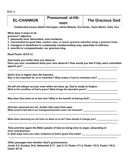**DAY 6**

### **EL-CHANNUN Pronounced: el-HA- The Gracious God**

**noon**

*Collaborated between Nathan Harrington, Adrien Mobeka, Ona Ichoku, Taylor Martin, Cathy Toro*

**What does it mean to be gracious? adjective**

- **1. pleasantly kind, benevolent, and courteous.**
- **2. characterized by good taste, comfort, ease, or luxury: gracious suburban living; a gracious home.**
- **3. indulgent or beneficent in a pleasantly condescending way, especially to inferiors.**
- **4. merciful or compassionate: our gracious king.**

**Read Psalm 103:8-12**

*God treats you better than you deserve.*

**Have you ever considered what your sins deserve? How would you feel if they were committed against you? with a set of the set of the set of the set of the set of the set of the set of the set of the set of the set of the set of the set of the set of the set of the set of the set of the set of the set of the s** 

**\_\_\_\_\_\_\_\_\_\_\_\_\_\_\_\_\_\_\_\_\_\_\_\_\_\_\_\_\_\_\_\_\_\_\_\_\_\_\_\_\_\_\_\_\_\_\_\_\_\_\_\_\_\_\_\_\_\_\_\_\_\_\_\_\_\_\_\_\_\_\_\_\_\_\_\_\_\_\_\_\_**

**\_\_\_\_\_\_\_\_\_\_\_\_\_\_\_\_\_\_\_\_\_\_\_\_\_\_\_\_\_\_\_\_\_\_\_\_\_\_\_\_\_\_\_\_\_\_\_\_\_\_\_\_\_\_\_\_\_\_\_\_\_\_\_\_\_\_\_\_\_\_\_\_\_\_\_\_\_\_\_\_\_**

**\_\_\_\_\_\_\_\_\_\_\_\_\_\_\_\_\_\_\_\_\_\_\_\_\_\_\_\_\_\_\_\_\_\_\_\_\_\_\_\_\_\_\_\_\_\_\_\_\_\_\_\_\_\_\_\_\_\_\_\_\_\_\_\_\_\_\_\_\_\_\_\_\_\_\_\_\_\_\_\_\_**

**\_\_\_\_\_\_\_\_\_\_\_\_\_\_\_\_\_\_\_\_\_\_\_\_\_\_\_\_\_\_\_\_\_\_\_\_\_\_\_\_\_\_\_\_\_\_\_\_\_\_\_\_\_\_\_\_\_\_\_\_\_\_\_\_\_\_\_\_\_\_\_\_\_\_\_\_\_\_\_\_\_**

**\_\_\_\_\_\_\_\_\_\_\_\_\_\_\_\_\_\_\_\_\_\_\_\_\_\_\_\_\_\_\_\_\_\_\_\_\_\_\_\_\_\_\_\_\_\_\_\_\_\_\_\_\_\_\_\_\_\_\_\_\_\_\_\_\_\_\_\_\_\_\_\_\_\_\_\_\_\_\_\_\_**

**\_\_\_\_\_\_\_\_\_\_\_\_\_\_\_\_\_\_\_\_\_\_\_\_\_\_\_\_\_\_\_\_\_\_\_\_\_\_\_\_\_\_\_\_\_\_\_\_\_\_\_\_\_\_\_\_\_\_\_\_\_\_\_\_\_\_\_\_\_\_\_\_\_\_\_\_\_\_\_\_\_**

*God's love is higher than the heavens.*

Why is this important for us to remember? What makes it hard to remember this?

*He will not always accuse; even when we mess up, God is ready to forgive.* What is the condition of God's grace? What brings the abundant grace?

Why does God want us to fear him? What is the benefit of fearing God? **William Commission Contains Container** 

*God has removed our sin, further than east from west.* **What would it feel like if our transgressions/sins were not removed? \_\_\_\_\_\_\_\_\_\_\_\_\_\_\_\_\_\_\_\_\_\_\_\_\_\_**

What does removing our sin from us allow us to do? How should it change you? **Winds** 

*Time and time again the Bible speaks of God as being slow to anger, abounding in love, and gracious.*

In what ways have you seen evidence of God's grace this week?

*Other passages that mention God's graciousness:* **Jonah 4:2, Exodus 34:6, Nehemiah 9:17, Joel 2:13, Psalm 111:4, Psalm 112:6, Psalm 116:5, Isaiah 30:18**

**\_\_\_\_\_\_\_\_\_\_\_\_\_\_\_\_\_\_\_\_\_\_\_\_\_\_\_\_\_\_\_\_\_\_\_\_\_\_\_\_\_\_\_\_\_\_\_\_\_\_\_\_\_\_\_\_\_\_\_\_\_\_\_\_\_\_\_\_\_\_\_\_\_\_\_\_\_\_\_\_\_**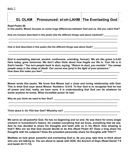### **EL OLAM** Pronounced: el-oh-LAHM The Everlasting God

**Read Psalm 90**

**In this psalm, Moses focuses on some huge differences between God and us. Did you catch that?**

**\_\_\_\_\_\_\_\_\_\_\_\_\_\_\_\_\_\_\_\_\_\_\_\_\_\_\_\_\_\_\_\_\_\_\_\_\_\_\_\_\_\_\_\_\_\_\_\_\_\_\_\_\_\_\_\_\_\_\_\_\_\_\_\_\_\_\_\_\_\_\_\_\_\_\_\_\_\_\_\_\_ \_\_\_\_\_\_\_\_\_\_\_\_\_\_\_\_\_\_\_\_\_\_\_\_\_\_\_\_\_\_\_\_\_\_\_\_\_\_\_\_\_\_\_\_\_\_\_\_\_\_\_\_\_\_\_\_\_\_\_\_\_\_\_\_\_\_\_\_\_\_\_\_\_\_\_\_\_\_\_\_\_**

**\_\_\_\_\_\_\_\_\_\_\_\_\_\_\_\_\_\_\_\_\_\_\_\_\_\_\_\_\_\_\_\_\_\_\_\_\_\_\_\_\_\_\_\_\_\_\_\_\_\_\_\_\_\_\_\_\_\_\_\_\_\_\_\_\_\_\_\_\_\_\_\_\_\_\_\_\_\_\_\_\_ \_\_\_\_\_\_\_\_\_\_\_\_\_\_\_\_\_\_\_\_\_\_\_\_\_\_\_\_\_\_\_\_\_\_\_\_\_\_\_\_\_\_\_\_\_\_\_\_\_\_\_\_\_\_\_\_\_\_\_\_\_\_\_\_\_\_\_\_\_\_\_\_\_\_\_\_\_\_\_\_\_**

How are humans described in this psalm (list the different things said about mankind)?

How is God described in this psalm (list the different things said about God)?

**God is everlasting (eternal, ancient, continuous, unending, forever). We are like grass (v.5-6)! Here today, gone tomorrow. We don't often think about how fragile our life is. Your life is in God's hands. "***You turn people back to dust, saying, "Return to dust, you mortals". You sweep people away in the sleep of death. Our secret sins [are] in the light of your presence."* **How does this make you feel? \_\_\_\_\_\_\_\_\_\_\_\_\_\_\_\_\_\_\_\_\_\_\_\_\_\_\_\_\_\_\_\_\_\_\_\_\_\_\_\_\_\_\_\_\_\_\_\_\_\_\_\_\_\_\_\_\_**

**\_\_\_\_\_\_\_\_\_\_\_\_\_\_\_\_\_\_\_\_\_\_\_\_\_\_\_\_\_\_\_\_\_\_\_\_\_\_\_\_\_\_\_\_\_\_\_\_\_\_\_\_\_\_\_\_\_\_\_\_\_\_\_\_\_\_\_\_\_\_\_\_\_\_\_\_\_\_\_\_\_ \_\_\_\_\_\_\_\_\_\_\_\_\_\_\_\_\_\_\_\_\_\_\_\_\_\_\_\_\_\_\_\_\_\_\_\_\_\_\_\_\_\_\_\_\_\_\_\_\_\_\_\_\_\_\_\_\_\_\_\_\_\_\_\_\_\_\_\_\_\_\_\_\_\_\_\_\_\_\_\_\_**

**Moses wrote this psalm. We know that Moses had a close and loving relationship with God. This is what God says about Moses: Numbers 12:6-8. To fear God is to recognize that he has all power and that, really, we have none. It is understanding that God can do whatever he wants anytime he wants. What incredible power he has!**

**\_\_\_\_\_\_\_\_\_\_\_\_\_\_\_\_\_\_\_\_\_\_\_\_\_\_\_\_\_\_\_\_\_\_\_\_\_\_\_\_\_\_\_\_\_\_\_\_\_\_\_\_\_\_\_\_\_\_\_\_\_\_\_\_\_\_\_\_\_\_\_\_\_\_\_\_\_\_\_\_\_ \_\_\_\_\_\_\_\_\_\_\_\_\_\_\_\_\_\_\_\_\_\_\_\_\_\_\_\_\_\_\_\_\_\_\_\_\_\_\_\_\_\_\_\_\_\_\_\_\_\_\_\_\_\_\_\_\_\_\_\_\_\_\_\_\_\_\_\_\_\_\_\_\_\_\_\_\_\_\_\_\_**

**\_\_\_\_\_\_\_\_\_\_\_\_\_\_\_\_\_\_\_\_\_\_\_\_\_\_\_\_\_\_\_\_\_\_\_\_\_\_\_\_\_\_\_\_\_\_\_\_\_\_\_\_\_\_\_\_\_\_\_\_\_\_\_\_\_\_\_\_\_\_\_\_\_\_\_\_\_\_\_\_\_**

Why do you think we need to fear God? **Why do you think** we need to fear God?

**Think about it. Do YOU fear God? Why/why not? \_\_\_\_\_\_\_\_\_\_\_\_\_\_\_\_\_\_\_\_\_\_\_\_\_\_\_\_\_\_\_\_\_\_\_\_\_\_\_\_\_\_**

**We serve an all-powerful God. He has no beginning and no end. He was there for every single moment in humankind's history. He created everything that we know, everything that we see. And he has decided to share his thoughts and heart with us in his Word. How amazing is that?! Who are we that God should decide to do this (Read Psalm 8)? Does a king share his thoughts with his subjects? Does the president personally share his thoughts with YOU??**

**Meditate on how great, powerful and everlasting God is. As you pray, take time to think about who you are talking to. You are about to speak with GOD, the Ancient of Days (Read Daniel 7:9 and Isaiah 43:11-13).**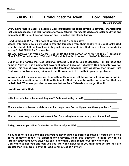**Every name that is used to describe God throughout the Bible reveals a different characteristic that God possesses. The Hebrew name for God, Yahweh, represents God's character as divine and omnipotent. He is Lord over all creation and He makes this clearly known.**

**Read Exodus 3:11-15 (Take note of verses 14 and 15 especially.)**

**Moses, after being called by God to free the Israelites from their captivity in Egypt, asks God what he should tell the Israelites if they ask him who sent him. God then in turn responds by saying "I AM WHO I AM" (verse 14).**

**We see, however, in verse 15 that God shifts the first person of "I AM" to the 3rd person of "The LORD" or in Hebrew, "Yahweh". Yahweh is the third person of "to be" in Hebrew.**

**Out of all the names that God could've directed Moses to use to describe Him; He used the name of Yahweh. It is a name that covers all names because it displays God as Master over all things. This would have encouraged the Israelites because they would've then known that God was in control of everything and that He was Lord of even their greatest problems.**

**Yahweh is still the same now as He was then! He created all things and all things worship Him in complete adoration and exaltation. He is not a God that can be walked on or a God that can be belittled. Whatever problem or excuse that we face, Yahweh is stronger than it.**

How do you view God? **We are all that if you will be a set of the set of the set of the set of the set of the set of the set of the set of the set of the set of the set of the set of the set of the set of the set of the se** 

Is He Lord of all or is he something less? Be honest with yourself.

**When you face problems or trials in your life, do you see God as bigger than those problems? \_\_\_\_\_\_ \_\_\_\_\_\_\_\_\_\_\_\_\_\_\_\_\_\_\_\_\_\_\_\_\_\_\_\_\_\_\_\_\_\_\_\_\_\_\_\_\_\_\_\_\_\_\_\_\_\_\_\_\_\_\_\_\_\_\_\_\_\_\_\_\_\_\_\_\_\_\_\_\_\_\_\_\_\_\_\_\_**

**\_\_\_\_\_\_\_\_\_\_\_\_\_\_\_\_\_\_\_\_\_\_\_\_\_\_\_\_\_\_\_\_\_\_\_\_\_\_\_\_\_\_\_\_\_\_\_\_\_\_\_\_\_\_\_\_\_\_\_\_\_\_\_\_\_\_\_\_\_\_\_\_\_\_\_\_\_\_\_\_\_**

**\_\_\_\_\_\_\_\_\_\_\_\_\_\_\_\_\_\_\_\_\_\_\_\_\_\_\_\_\_\_\_\_\_\_\_\_\_\_\_\_\_\_\_\_\_\_\_\_\_\_\_\_\_\_\_\_\_\_\_\_\_\_\_\_\_\_\_\_\_\_\_\_\_\_\_\_\_\_\_\_\_**

**\_\_\_\_\_\_\_\_\_\_\_\_\_\_\_\_\_\_\_\_\_\_\_\_\_\_\_\_\_\_\_\_\_\_\_\_\_\_\_\_\_\_\_\_\_\_\_\_\_\_\_\_\_\_\_\_\_\_\_\_\_\_\_\_\_\_\_\_\_\_\_\_\_\_\_\_\_\_\_\_\_**

**\_\_\_\_\_\_\_\_\_\_\_\_\_\_\_\_\_\_\_\_\_\_\_\_\_\_\_\_\_\_\_\_\_\_\_\_\_\_\_\_\_\_\_\_\_\_\_\_\_\_\_\_\_\_\_\_\_\_\_\_\_\_\_\_\_\_\_\_\_\_\_\_\_\_\_\_\_\_\_\_\_**

**What excuses can you make that prevent God from being Master over every part of your life? \_\_\_\_\_\_**

**Today, how can you allow God to be the Master of your life? \_\_\_\_\_\_\_\_\_\_\_\_\_\_\_\_\_\_\_\_\_\_\_\_\_\_\_\_\_\_\_\_**

**It could be to talk to someone that you've never talked to before or maybe it could be to help serve someone today, it's different for everyone. Keep this question in mind as you go through today and every day: How can I show that God is master over my whole life? God wants to use you and can use you! He won't however if you think and act like you are greater than Him. God is over all, God is King, God is Yahweh!**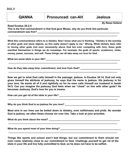**Read Exodus 20:2-5**

*By Reese Holland*

**This is the first commandment in that God gave Moses, why do you think this particular commandment was first? \_\_\_\_\_\_\_\_\_\_\_\_\_\_\_\_\_\_\_\_\_\_\_\_\_\_\_\_\_\_\_\_\_\_\_\_\_\_\_\_\_\_\_\_\_\_\_\_\_\_\_\_\_\_\_\_\_\_\_\_\_**

**What this commandment refers to is idolatry. Now I know what you're thinking, "Idolatry is the worship of other gods and stone objects, so this really doesn't apply to me." Wrong. While idolatry does refer to having other gods (not even necessarily above God but even competing with him), these gods manifest themselves in things we do nowadays. For example, the gods of sports, academics, clubs, money, power, success, and self. These things can all take away our love for God.**

**\_\_\_\_\_\_\_\_\_\_\_\_\_\_\_\_\_\_\_\_\_\_\_\_\_\_\_\_\_\_\_\_\_\_\_\_\_\_\_\_\_\_\_\_\_\_\_\_\_\_\_\_\_\_\_\_\_\_\_\_\_\_\_\_\_\_\_\_\_\_\_\_\_\_\_\_\_\_\_\_\_**

**\_\_\_\_\_\_\_\_\_\_\_\_\_\_\_\_\_\_\_\_\_\_\_\_\_\_\_\_\_\_\_\_\_\_\_\_\_\_\_\_\_\_\_\_\_\_\_\_\_\_\_\_\_\_\_\_\_\_\_\_\_\_\_\_\_\_\_\_\_\_\_\_\_\_\_\_\_\_\_\_\_**

**\_\_\_\_\_\_\_\_\_\_\_\_\_\_\_\_\_\_\_\_\_\_\_\_\_\_\_\_\_\_\_\_\_\_\_\_\_\_\_\_\_\_\_\_\_\_\_\_\_\_\_\_\_\_\_\_\_\_\_\_\_\_\_\_\_\_\_\_\_\_\_\_\_\_\_\_\_\_\_\_\_**

What are some idols in your life? **What are some idols** in your life?

**How do they take away time, commitment, and love from God? \_\_\_\_\_\_\_\_\_\_\_\_\_\_\_\_\_\_\_\_\_\_\_\_\_\_\_\_\_\_**

**Now we get to what God calls himself in the passage: jealous. In Exodus 34:14, God not only gives himself the attribute of jealousy, he says that his name is jealous. His jealousy is for your love. He wants all of it and rightfully so for he even calls himself our husband in Isaiah 54:5. Can you imagine the jealousy God feels when we "cheat" on him with other gods? He becomes Jealousy. God's love for you is insane.**

How can you get rid of the idols in your life?

Why do you think God is so jealous for you love?

**Most sins in our lives can be boiled down to idolatry, even selfishness and pride. No wonder God is jealous, we often times choose sin over him. Take a look at your priorities.**

**\_\_\_\_\_\_\_\_\_\_\_\_\_\_\_\_\_\_\_\_\_\_\_\_\_\_\_\_\_\_\_\_\_\_\_\_\_\_\_\_\_\_\_\_\_\_\_\_\_\_\_\_\_\_\_\_\_\_\_\_\_\_\_\_\_\_\_\_\_\_\_\_\_\_\_\_\_\_\_\_\_**

**\_\_\_\_\_\_\_\_\_\_\_\_\_\_\_\_\_\_\_\_\_\_\_\_\_\_\_\_\_\_\_\_\_\_\_\_\_\_\_\_\_\_\_\_\_\_\_\_\_\_\_\_\_\_\_\_\_\_\_\_\_\_\_\_\_\_\_\_\_\_\_\_\_\_\_\_\_\_\_\_\_**

**\_\_\_\_\_\_\_\_\_\_\_\_\_\_\_\_\_\_\_\_\_\_\_\_\_\_\_\_\_\_\_\_\_\_\_\_\_\_\_\_\_\_\_\_\_\_\_\_\_\_\_\_\_\_\_\_\_\_\_\_\_\_\_\_\_\_\_\_\_\_\_\_\_\_\_\_\_\_\_\_\_**

**What do you think about the most? \_\_\_\_\_\_\_\_\_\_\_\_\_\_\_\_\_\_\_\_\_\_\_\_\_\_\_\_\_\_\_\_\_\_\_\_\_\_\_\_\_\_\_\_\_\_\_\_\_\_\_\_\_**

**What do you spend most of your time doing? \_\_\_\_\_\_\_\_\_\_\_\_\_\_\_\_\_\_\_\_\_\_\_\_\_\_\_\_\_\_\_\_\_\_\_\_\_\_\_\_\_\_\_\_\_**

**Things like sports and school aren't bad things, but our commitment to them should not even come relatively close to our commitment to God. Challenge yourself to get rid of the idols in your life and live fully committed to God, so he does not have to be selfish.**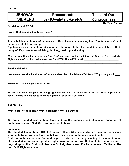**Read Jeremiah 23:5-6**

How is God described in these verses? **Example 20 and 20 and 20 and 20 and 20 and 20 and 20 and 20 and 20 and 20** 

**Jehovah Tsidkenu is one of the names of God. A name so amazing that "Righteousness" is at the very root of its meaning.**

**\_\_\_\_\_\_\_\_\_\_\_\_\_\_\_\_\_\_\_\_\_\_\_\_\_\_\_\_\_\_\_\_\_\_\_\_\_\_\_\_\_\_\_\_\_\_\_\_\_\_\_\_\_\_\_\_\_\_\_\_\_\_\_\_\_\_\_\_\_\_\_\_\_\_\_\_\_\_\_\_\_**

**Righteousness = the state of him who is as he ought to be; the condition acceptable to God; purity of life, correctness of living, thinking, desiring and acting.**

**Why do you think the words "our" or "us" are used in the definition of God as "the Lord** *Our* **Righteousness" or "Lord Who Makes** *Us* **Right With Himself" in v. 6? \_\_\_\_\_\_\_\_\_\_\_\_\_\_\_\_\_\_\_\_\_\_\_\_\_\_\_**

**\_\_\_\_\_\_\_\_\_\_\_\_\_\_\_\_\_\_\_\_\_\_\_\_\_\_\_\_\_\_\_\_\_\_\_\_\_\_\_\_\_\_\_\_\_\_\_\_\_\_\_\_\_\_\_\_\_\_\_\_\_\_\_\_\_\_\_\_\_\_\_\_\_\_\_\_\_\_\_\_\_**

**Read Isaiah 64:6**

**How are we described in this verse? Are you described like Jehovah Tsidkenu? Why or why not? \_\_\_\_**

**\_\_\_\_\_\_\_\_\_\_\_\_\_\_\_\_\_\_\_\_\_\_\_\_\_\_\_\_\_\_\_\_\_\_\_\_\_\_\_\_\_\_\_\_\_\_\_\_\_\_\_\_\_\_\_\_\_\_\_\_\_\_\_\_\_\_\_\_\_\_\_\_\_\_\_\_\_\_\_\_\_**

**\_\_\_\_\_\_\_\_\_\_\_\_\_\_\_\_\_\_\_\_\_\_\_\_\_\_\_\_\_\_\_\_\_\_\_\_\_\_\_\_\_\_\_\_\_\_\_\_\_\_\_\_\_\_\_\_\_\_\_\_\_\_\_\_\_\_\_\_\_\_\_\_\_\_\_\_\_\_\_\_\_**

**How does God view your** *best* **efforts?\_\_\_\_\_\_\_\_\_\_\_\_\_\_\_\_\_\_\_\_\_\_\_\_\_\_\_\_\_\_\_\_\_\_\_\_\_\_\_\_\_\_\_\_\_\_\_\_\_\_\_**

**We are spiritually incapable of being righteous without God because of our sin. What hope do we** have? Is there any chance to be made righteous, or pure? If so, how?

**\_\_\_\_\_\_\_\_\_\_\_\_\_\_\_\_\_\_\_\_\_\_\_\_\_\_\_\_\_\_\_\_\_\_\_\_\_\_\_\_\_\_\_\_\_\_\_\_\_\_\_\_\_\_\_\_\_\_\_\_\_\_\_\_\_\_\_\_\_\_\_\_\_\_\_\_\_\_\_\_\_**

**1 John 1:5-7**

What is light? Who is light? What is darkness? Who is darkness?

**We are in the darkness without God, and on the opposite end of a giant spectrum of righteousness from God. So, how do we get to him?**

**\_\_\_\_\_\_\_\_\_\_\_\_\_\_\_\_\_\_\_\_\_\_\_\_\_\_\_\_\_\_\_\_\_\_\_\_\_\_\_\_\_\_\_\_\_\_\_\_\_\_\_\_\_\_\_\_\_\_\_\_\_\_\_\_\_\_\_\_\_\_\_\_\_\_\_\_\_\_\_\_\_**

**Summary:**

**The blood of Jesus Christ PURIFIES us from all sin. When Jesus died on the cross he became a bridge between you and God, so that you may live in righteousness and light.**

**God is a righteous merciful God and he proves his love for us by sending his son to die of all of us. And since we cannot produce righteousness on our own, God sent his son to become a holy bridge so that God could become OUR righteousness. For he is Jehovah Tsidkenu: The Lord OUR Righteousness.**

*By Reina Suruga*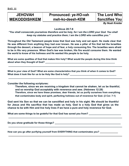**DAY 11**

### **JEHOVAH Pronounced: ye-HO-vah The Lord Who MEKODDISHKEM meh-ko-deesh-KEM Sanctifies You**

*By Noah Kreider*

### **Leviticus 20:7-8**

*"You shall consecrate yourselves therefore and be holy, for I am the LORD your God. You shall keep my statutes and practice them; I am the LORD who sanctifies you."*

**Throughout the Old Testament people knew that God was holy and set apart. He made clear that He was different from anything they had ever known. He was a pillar of fire that led the Israelites through the dessert, a beacon of hope and of fear, a holy consuming fire. The Israelites were afraid to be in His very presence. When God's law was broken, His fire would consume them. He wanted the world to know of his holiness and He wanted His people to be holy.**

**What are some qualities of God that makes Him holy? What would the people during this time think**  about when they thought of God?

**\_\_\_\_\_\_\_\_\_\_\_\_\_\_\_\_\_\_\_\_\_\_\_\_\_\_\_\_\_\_\_\_\_\_\_\_\_\_\_\_\_\_\_\_\_\_\_\_\_\_\_\_\_\_\_\_\_\_\_\_\_\_\_\_\_\_\_\_\_\_\_\_\_\_\_\_\_\_\_\_\_**

**\_\_\_\_\_\_\_\_\_\_\_\_\_\_\_\_\_\_\_\_\_\_\_\_\_\_\_\_\_\_\_\_\_\_\_\_\_\_\_\_\_\_\_\_\_\_\_\_\_\_\_\_\_\_\_\_\_\_\_\_\_\_\_\_\_\_\_\_\_\_\_\_\_\_\_\_\_\_\_\_\_**

**What is your view of God? What are some characteristics that you think of when it comes to God?**  What does it look like for us to be Holy like God is holy?

**Consider the following scriptures:**

**Therefore, since we are receiving a kingdom that cannot be shaken, let us be thankful, and so worship God acceptably with reverence and awe. (Hebrews 12:28) Therefore, since we have these promises, dear friends, let us purify ourselves from everything that contaminates body and spirit, perfecting holiness out of reverence for God. (2 Cor. 7:1)**

**God sent his Son so that we can be sanctified and holy in his sight. We should be thankful for Jesus and His sacrifice that has made us holy. God is a holy God that gives us the chance to be with Him and live holy lives if we have a pure and holy reverence for God.**

**\_\_\_\_\_\_\_\_\_\_\_\_\_\_\_\_\_\_\_\_\_\_\_\_\_\_\_\_\_\_\_\_\_\_\_\_\_\_\_\_\_\_\_\_\_\_\_\_\_\_\_\_\_\_\_\_\_\_\_\_\_\_\_\_\_\_\_\_\_\_\_\_\_\_\_\_\_\_\_\_\_**

**\_\_\_\_\_\_\_\_\_\_\_\_\_\_\_\_\_\_\_\_\_\_\_\_\_\_\_\_\_\_\_\_\_\_\_\_\_\_\_\_\_\_\_\_\_\_\_\_\_\_\_\_\_\_\_\_\_\_\_\_\_\_\_\_\_\_\_\_\_\_\_\_\_\_\_\_\_\_\_\_\_**

**\_\_\_\_\_\_\_\_\_\_\_\_\_\_\_\_\_\_\_\_\_\_\_\_\_\_\_\_\_\_\_\_\_\_\_\_\_\_\_\_\_\_\_\_\_\_\_\_\_\_\_\_\_\_\_\_\_\_\_\_\_\_\_\_\_\_\_\_\_\_\_\_\_\_\_\_\_\_\_\_\_**

**What are some things to be grateful for that God has saved you from? \_\_\_\_\_\_\_\_\_\_\_\_\_\_\_\_\_\_\_\_\_\_\_\_**

**Do you show gratitude for those things? \_\_\_\_\_\_\_\_\_\_\_\_\_\_\_\_\_\_\_\_\_\_\_\_\_\_\_\_\_\_\_\_\_\_\_\_\_\_\_\_\_\_\_\_\_\_\_\_\_**

**How can you go after purifying yourself from EVERYTHING that contaminates you? \_\_\_\_\_\_\_\_\_\_\_\_\_\_**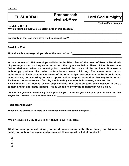| <b>EL SHADDAI</b>                                                                    | <b>Pronounced:</b><br>el-sha-DA-ee | <b>Lord God Almighty</b>    |
|--------------------------------------------------------------------------------------|------------------------------------|-----------------------------|
| <b>Read Job 40:1-4</b><br>Why do you think that God is scolding Job in this passage? |                                    | <b>By Jonathan Shingler</b> |
| Do you think that Job may have tried to correct God?                                 |                                    |                             |
| Read Job 23:4                                                                        |                                    |                             |

What does this passage tell you about the heart of Job?

**In the summer of 1986, two ships collided in the Black Sea off the coast of Russia. Hundreds of passengers died as they were hurled into the icy waters below. News of the disaster was further darkened when an investigation revealed the cause of the accident. It wasn't a technology problem like radar malfunction--or even thick fog. The cause was human stubbornness. Each captain was aware of the other ship's presence nearby. Both could have steered clear, but according to news reports, neither captain wanted to give way to the other. Each was too proud to yield first. By the time they came to their senses, it was too late. Now consider that instead of two ship captains, this standoff took place between a ship's**

**\_\_\_\_\_\_\_\_\_\_\_\_\_\_\_\_\_\_\_\_\_\_\_\_\_\_\_\_\_\_\_\_\_\_\_\_\_\_\_\_\_\_\_\_\_\_\_\_\_\_\_\_\_\_\_\_\_\_\_\_\_\_\_\_\_\_\_\_\_\_\_\_\_\_\_\_\_\_\_\_\_**

**Do you find yourself questioning God's plan for you? If so, do you think your plan is better or that maybe God doesn't have your best in mind? \_\_\_\_\_\_\_\_\_\_\_\_\_\_\_\_\_\_\_\_\_\_\_\_\_\_\_\_\_\_\_\_\_\_\_\_\_\_\_\_\_\_\_\_\_\_**

**\_\_\_\_\_\_\_\_\_\_\_\_\_\_\_\_\_\_\_\_\_\_\_\_\_\_\_\_\_\_\_\_\_\_\_\_\_\_\_\_\_\_\_\_\_\_\_\_\_\_\_\_\_\_\_\_\_\_\_\_\_\_\_\_\_\_\_\_\_\_\_\_\_\_\_\_\_\_\_\_\_**

**\_\_\_\_\_\_\_\_\_\_\_\_\_\_\_\_\_\_\_\_\_\_\_\_\_\_\_\_\_\_\_\_\_\_\_\_\_\_\_\_\_\_\_\_\_\_\_\_\_\_\_\_\_\_\_\_\_\_\_\_\_\_\_\_\_\_\_\_\_\_\_\_\_\_\_\_\_\_\_\_\_**

**\_\_\_\_\_\_\_\_\_\_\_\_\_\_\_\_\_\_\_\_\_\_\_\_\_\_\_\_\_\_\_\_\_\_\_\_\_\_\_\_\_\_\_\_\_\_\_\_\_\_\_\_\_\_\_\_\_\_\_\_\_\_\_\_\_\_\_\_\_\_\_\_\_\_\_\_\_\_\_\_\_**

**captain and an enormous iceberg. This is what it is like trying to fight with God's plan.**

**Read Jeremiah 29:11**

Based on the scripture, is there any real reason to worry about God's plan?

When we question God, do you think it shows in our lives? How?

**What are some practical things you can do alone and/or with others (family and friends) to build your faith in God's plan and promises? Come up with a list of practicals:**

**1)**

**2)**

**3)**

**4)**

**5)**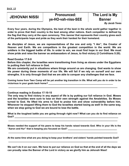**DAY 13**

### **JEHOVAH NISSI Pronounced: The Lord is My**  $ye-HO-valh-niss-SEE$

*By Jacob Teves*

**Every four years, during the Olympics, the best of the best in the whole world gather together in order to prove that their country is the best among other nations. Each competitor is defined by the flag that they carry at the open ceremony. This** *banner* **that represents their country gives each of the participants hope and pride as they work their hardest for their homeland.**

**As disciples of Jesus, we are representatives of the one and only "I Am", the Creator of Heaven and Earth. We are competitors in the greatest competition in the world. We are soldiers in the biggest battle of life. In order to win, we must find hope in our God. We must show pride and raise the banner as ambassadors of Jesus, to find victory (2 Corinthians 5:20).**

### **Read Exodus 17:8-9**

**Before this chapter, the Israelites were transitioning from living as slaves under the Egyptians to putting their full reliance in God.**

**We are constantly put in situations where things around us are changing. God wants to show his power during these moments of our life. We will fail if we rely on ourself and our own strengths. It is only through God that we are able to conquer any challenges that we face.**

**Coming home from Teen Camp will be yet another big transition in life. What will you do in order to be victorious in your goals back home? \_\_\_\_\_\_\_\_\_\_\_\_\_\_\_\_\_\_\_\_\_\_\_\_\_\_\_\_\_\_\_\_\_\_\_\_\_\_\_\_\_\_\_\_\_\_\_\_\_\_**

**\_\_\_\_\_\_\_\_\_\_\_\_\_\_\_\_\_\_\_\_\_\_\_\_\_\_\_\_\_\_\_\_\_\_\_\_\_\_\_\_\_\_\_\_\_\_\_\_\_\_\_\_\_\_\_\_\_\_\_\_\_\_\_\_\_\_\_\_\_\_\_\_\_\_\_\_\_\_\_\_\_**

**Continue reading in Exodus 17:10-15**

**The only way to find victory in any aspect of life is by putting our full reliance in God. Moses and the Israelites were sure to lose on their own strength against the Amalekites. So Moses turned to God. He lifted his arms to God to praise him and show vulnerability before him. Whenever he stopped lifting them to God the Israelites started losing as well! In the same way, when we stop going to God we are bound to lose the battle.**

**What is the toughest battle you are going through right now? What can you do to find reliance on God? \_\_\_\_\_\_\_\_\_\_\_\_\_\_\_\_\_\_\_\_\_\_\_\_\_\_\_\_\_\_\_\_\_\_\_\_\_\_\_\_\_\_\_\_\_\_\_\_\_\_\_\_\_\_\_\_\_\_\_\_\_\_\_\_\_\_\_\_\_\_\_\_\_\_\_\_\_**

**\_\_\_\_\_\_\_\_\_\_\_\_\_\_\_\_\_\_\_\_\_\_\_\_\_\_\_\_\_\_\_\_\_\_\_\_\_\_\_\_\_\_\_\_\_\_\_\_\_\_\_\_\_\_\_\_\_\_\_\_\_\_\_\_\_\_\_\_\_\_\_\_\_\_\_\_\_\_\_\_\_**

**Moses needed the support of his peers to keep his hands raised towards God. Who in your life is the "Aaron and Hur" that is keeping you focused on God? \_\_\_\_\_\_\_\_\_\_\_\_\_\_\_\_\_\_\_\_\_\_\_\_\_\_\_\_\_\_\_\_\_\_\_\_\_\_**

**At the same time what are you doing to keep your brothers' and sisters' hands pointed towards God? \_\_\_\_\_\_\_\_\_\_\_\_\_\_\_\_\_\_\_\_\_\_\_\_\_\_\_\_\_\_\_\_\_\_\_\_\_\_\_\_\_\_\_\_\_\_\_\_\_\_\_\_\_\_\_\_\_\_\_\_\_\_\_\_\_\_\_\_\_\_\_\_\_\_\_\_\_\_\_\_\_**

**\_\_\_\_\_\_\_\_\_\_\_\_\_\_\_\_\_\_\_\_\_\_\_\_\_\_\_\_\_\_\_\_\_\_\_\_\_\_\_\_\_\_\_\_\_\_\_\_\_\_\_\_\_\_\_\_\_\_\_\_\_\_\_\_\_\_\_\_\_\_\_\_\_\_\_\_\_\_\_\_\_**

**We can't do it on our own. We have to put our reliance on God so that at the end of all the days we can proudly raise the Banner of the Lord in victory as we glorify him as Jehovah Nissi!**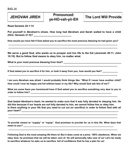## **JEHOVAH JIREH Pronounced: The Lord Will Provide ye-HO-vah-yir-EH**

**Read Genesis 22:1-14**

**Put yourself in Abraham's shoes. How long had Abraham and Sarah waited to have a child (Hint: Genesis 21:5)? \_\_\_\_\_\_\_\_\_\_\_\_\_\_\_\_\_\_\_\_\_\_\_\_\_\_\_**

**How would you have felt if God asked you to sacrifice the most precious blessing he had given you? \_\_\_\_\_\_\_\_\_\_\_\_\_\_\_\_\_\_\_\_\_\_\_\_\_\_\_\_\_\_\_\_\_\_\_\_\_\_\_\_\_\_\_\_\_\_\_\_\_\_\_\_\_\_\_\_\_\_\_\_\_\_\_\_\_\_\_\_\_\_\_\_\_\_\_\_\_\_\_\_\_**

**\_\_\_\_\_\_\_\_\_\_\_\_\_\_\_\_\_\_\_\_\_\_\_\_\_\_\_\_\_\_\_\_\_\_\_\_\_\_\_\_\_\_\_\_\_\_\_\_\_\_\_\_\_\_\_\_\_\_\_\_\_\_\_\_\_\_\_\_\_\_\_\_\_\_\_\_\_\_\_\_\_**

**\_\_\_\_\_\_\_\_\_\_\_\_\_\_\_\_\_\_\_\_\_\_\_\_\_\_\_\_\_\_\_\_\_\_\_\_\_\_\_\_\_\_\_\_\_\_\_\_\_\_\_\_\_\_\_\_\_\_\_\_\_\_\_\_\_\_\_\_\_\_\_\_\_\_\_\_\_\_\_\_\_**

**\_\_\_\_\_\_\_\_\_\_\_\_\_\_\_\_\_\_\_\_\_\_\_\_\_\_\_\_\_\_\_\_\_\_\_\_\_\_\_\_\_\_\_\_\_\_\_\_\_\_\_\_\_\_\_\_\_\_\_\_\_\_\_\_\_\_\_\_\_\_\_\_\_\_\_\_\_\_\_\_\_**

**We serve a good God, who wants us to prosper and live life to the full (Jeremiah 29:11, John 10:10). But to follow God means to obey him, no matter what.**

What is your most precious blessing from God? \_\_\_\_\_\_\_\_\_\_\_\_\_\_\_\_\_\_\_\_\_\_\_\_\_\_\_\_\_\_\_\_\_\_

**If God asked you to sacrifice it for him, or took it away from you, how would you feel? \_\_\_\_\_\_\_\_\_\_\_\_**

**I am sure Abraham was afraid. I would probably think things like: "What if I never have another child? How could I ever be happy and full without Isaac in my life? Why would God ask this of me?"**

**What are some fears you have/would have if God asked you to sacrifice something very dear to you in order to follow him? \_\_\_\_\_\_\_\_\_\_\_\_\_\_\_\_\_\_\_\_\_\_\_\_\_\_\_\_\_\_\_\_\_\_\_\_\_\_\_\_\_\_\_\_\_\_\_\_\_\_\_\_\_\_\_\_\_\_\_\_\_\_\_**

**\_\_\_\_\_\_\_\_\_\_\_\_\_\_\_\_\_\_\_\_\_\_\_\_\_\_\_\_\_\_\_\_\_\_\_\_\_\_\_\_\_\_\_\_\_\_\_\_\_\_\_\_\_\_\_\_\_\_\_\_\_\_\_\_\_\_\_\_\_\_\_\_\_\_\_\_\_\_\_\_\_**

**God tested Abraham's heart, he wanted to make sure that it was fully devoted to obeying him. He did this because if our hearts are not fully devoted to him, we cannot follow him or obey him. Is there anything in your life that you need to cut out (or sacrifice) in order to follow God with all your heart? \_\_\_\_\_\_\_\_\_\_\_\_\_\_\_\_\_\_\_\_\_\_\_\_\_\_\_\_\_\_\_\_\_\_\_\_\_\_\_\_\_\_\_\_\_\_\_\_\_\_\_\_\_\_\_\_\_\_\_\_\_\_\_\_\_\_\_\_\_\_\_\_**

**\_\_\_\_\_\_\_\_\_\_\_\_\_\_\_\_\_\_\_\_\_\_\_\_\_\_\_\_\_\_\_\_\_\_\_\_\_\_\_\_\_\_\_\_\_\_\_\_\_\_\_\_\_\_\_\_\_\_\_\_\_\_\_\_\_\_\_\_\_\_\_\_\_\_\_\_\_\_\_\_\_ \_\_\_\_\_\_\_\_\_\_\_\_\_\_\_\_\_\_\_\_\_\_\_\_\_\_\_\_\_\_\_\_\_\_\_\_\_\_\_\_\_\_\_\_\_\_\_\_\_\_\_\_\_\_\_\_\_\_\_\_\_\_\_\_\_\_\_\_\_\_\_\_\_\_\_\_\_\_\_\_\_**

| To provide means to "supply" or "equip". God promises to provide for us in this life. What does that |  |  |  |  |  |  |  |
|------------------------------------------------------------------------------------------------------|--|--|--|--|--|--|--|
| mean to you?                                                                                         |  |  |  |  |  |  |  |

**\_\_\_\_\_\_\_\_\_\_\_\_\_\_\_\_\_\_\_\_\_\_\_\_\_\_\_\_\_\_\_\_\_\_\_\_\_\_\_\_\_\_\_\_\_\_\_\_\_\_\_\_\_\_\_\_\_\_\_\_\_\_\_\_\_\_\_\_\_\_\_\_\_\_\_\_\_\_\_\_\_**

**Following God is the most amazing life there is! But it does come at a price: 100% obedience. When we obey God, he promises that we will be taken care of. He will personally take care of us! Let's be ready to sacrifice whatever he asks us to sacrifice, full of confidence that he has a plan for us!**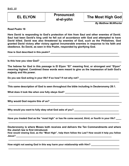| <b>EL ELYON</b> | <b>Pronounced:</b><br>el-el-yohn | The Most High God           |
|-----------------|----------------------------------|-----------------------------|
|                 |                                  | <b>By Matthew McWhorter</b> |

**Read Psalm 18**

**Here David is responding to God's protection of him from Saul and other enemies of David. Saul had been David's king until he fell out of accordance with God and attempted to have David killed. David was also threatened by enemies of God, such as the Philistines. God granted David victory after victory against innumerable enemies in response to his faith and obedience. So David, as seen in this Psalm, responded by glorifying God.**

**How is God described in this psalm? \_\_\_\_\_\_\_\_\_\_\_\_\_\_\_\_\_\_\_\_\_\_\_\_\_\_\_\_\_\_\_\_\_\_\_\_\_\_\_\_\_\_\_\_\_\_\_\_\_\_**

**Is this how you view God? \_\_\_\_\_\_\_\_\_\_\_\_\_\_\_\_\_\_\_\_\_\_\_\_\_\_\_\_\_\_\_\_\_\_\_\_\_\_\_\_\_\_\_\_\_\_\_\_\_\_\_\_\_\_\_\_\_\_**

**The hebrew for God in this passage is El Elyon "El" meaning first, or strongest and "Elyon" meaning highest. Combined these words were meant to give us the impression of both God's majesty and His power.**

**\_\_\_\_\_\_\_\_\_\_\_\_\_\_\_\_\_\_\_\_\_\_\_\_\_\_\_\_\_\_\_\_\_\_\_\_\_\_\_\_\_\_\_\_\_\_\_\_\_\_\_\_\_\_\_\_\_\_\_\_\_\_\_\_\_\_\_\_\_\_\_\_\_\_\_\_\_\_\_**

Do you see God acting in your life? If so how? If not why not? \_\_\_\_\_\_\_\_\_\_\_\_\_\_\_\_\_\_

**This same description of God is seen throughout the bible including in Deuteronomy 28:1.**

**\_\_\_\_\_\_\_\_\_\_\_\_\_\_\_\_\_\_\_\_\_\_\_\_\_\_\_\_\_\_\_\_\_\_\_\_\_\_\_\_\_\_\_\_\_\_\_\_\_\_\_\_\_\_\_\_\_\_\_\_\_\_\_\_\_\_\_\_\_\_\_\_\_\_\_\_\_\_\_**

**\_\_\_\_\_\_\_\_\_\_\_\_\_\_\_\_\_\_\_\_\_\_\_\_\_\_\_\_\_\_\_\_\_\_\_\_\_\_\_\_\_\_\_\_\_\_\_\_\_\_\_\_\_\_\_\_\_\_\_\_\_\_\_\_\_\_\_\_\_\_\_\_\_\_\_\_\_\_\_**

**\_\_\_\_\_\_\_\_\_\_\_\_\_\_\_\_\_\_\_\_\_\_\_\_\_\_\_\_\_\_\_\_\_\_\_\_\_\_\_\_\_\_\_\_\_\_\_\_\_\_\_\_\_\_\_\_\_\_\_\_\_\_\_\_\_\_\_\_\_\_\_\_\_\_\_\_\_\_\_**

**\_\_\_\_\_\_\_\_\_\_\_\_\_\_\_\_\_\_\_\_\_\_\_\_\_\_\_\_\_\_\_\_\_\_\_\_\_\_\_\_\_\_\_\_\_\_\_\_\_\_\_\_\_\_\_\_\_\_\_\_\_\_\_\_\_\_\_\_\_\_\_\_\_\_\_\_\_\_\_**

**\_\_\_\_\_\_\_\_\_\_\_\_\_\_\_\_\_\_\_\_\_\_\_\_\_\_\_\_\_\_\_\_\_\_\_\_\_\_\_\_\_\_\_\_\_\_\_\_\_\_\_\_\_\_\_\_\_\_\_\_\_\_\_\_\_\_\_\_\_\_\_\_\_\_\_\_\_\_\_**

What does it look like when one fully obeys God? \_\_\_\_\_\_\_\_\_\_\_\_\_\_\_\_\_\_\_\_\_\_\_\_\_\_\_\_\_\_\_

Why would God require this of us? **Why would God require this of us?** 

Why would you want to fully obey what God asks of you?

**Have you treated God as the "most high" or has He come second, third, or fourth in your life? \_\_\_\_**

**Deuteronomy is where Moses both receives and delivers the Ten Commandments and where the Jewish law is first introduced.**

**How would viewing God, as the "Most High", help them follow the Law? How would it help you follow Jesus? \_\_\_\_\_\_\_\_\_\_\_\_\_\_\_\_\_\_\_\_\_\_\_\_\_\_\_\_\_\_\_\_\_\_\_\_\_\_\_\_\_\_\_\_\_\_\_\_\_\_\_\_\_\_\_\_\_\_\_\_\_\_\_\_\_\_\_\_\_\_\_\_\_\_**

**\_\_\_\_\_\_\_\_\_\_\_\_\_\_\_\_\_\_\_\_\_\_\_\_\_\_\_\_\_\_\_\_\_\_\_\_\_\_\_\_\_\_\_\_\_\_\_\_\_\_\_\_\_\_\_\_\_\_\_\_\_\_\_\_\_\_\_\_\_\_\_\_\_\_\_\_\_\_\_**

**\_\_\_\_\_\_\_\_\_\_\_\_\_\_\_\_\_\_\_\_\_\_\_\_\_\_\_\_\_\_\_\_\_\_\_\_\_\_\_\_\_\_\_\_\_\_\_\_\_\_\_\_\_\_\_\_\_\_\_\_\_\_\_\_\_\_\_\_\_\_\_\_\_\_\_\_\_\_\_**

**How might not seeing God in this way harm your relationship with Him? \_\_\_\_\_\_\_\_\_\_\_\_\_\_\_\_\_\_\_\_\_**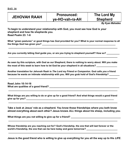| <b>JEHOVAH RAAH</b> | <b>Pronounced:</b> | The Lord My     |
|---------------------|--------------------|-----------------|
|                     | ye-HO-vah-ra-AH    | <b>Shepherd</b> |
|                     |                    |                 |

*By Kyan Mahadeo*

**To begin to understand your relationship with God, you must see how God is** *your* **shepherd and how He shepherds you. Read Psalm 23: 1-6**

**What "green pastures" or good things has God provided for you? What is your normal response to all the things God has given you? \_\_\_\_\_\_\_\_\_\_\_\_\_\_\_\_\_\_\_\_\_\_\_\_\_\_\_\_\_\_\_\_\_\_\_\_\_\_\_\_\_\_\_\_\_\_\_\_\_\_\_\_\_\_\_\_\_**

**\_\_\_\_\_\_\_\_\_\_\_\_\_\_\_\_\_\_\_\_\_\_\_\_\_\_\_\_\_\_\_\_\_\_\_\_\_\_\_\_\_\_\_\_\_\_\_\_\_\_\_\_\_\_\_\_\_\_\_\_\_\_\_\_\_\_\_\_\_\_\_\_\_\_\_\_\_\_\_\_\_**

Are you currently letting God quide you, or are you trying to shepherd yourself? How so?

**As seen by this scripture, with God as our Shepherd, there is nothing to worry about. Will you make**  the most of this week to learn how to let God be your shepherd in all situations?

**\_\_\_\_\_\_\_\_\_\_\_\_\_\_\_\_\_\_\_\_\_\_\_\_\_\_\_\_\_\_\_\_\_\_\_\_\_\_\_\_\_\_\_\_\_\_\_\_\_\_\_\_\_\_\_\_\_\_\_\_\_\_\_\_\_\_\_\_\_\_\_\_\_\_\_\_\_\_\_\_\_**

**Another translation for Jehovah Raah is** *The Lord my Friend or Companion.* **God calls** *you* **a friend because he wants an intimate relationship with you. Will you grab hold of God's friendship? \_\_\_\_\_\_\_\_**

**\_\_\_\_\_\_\_\_\_\_\_\_\_\_\_\_\_\_\_\_\_\_\_\_\_\_\_\_\_\_\_\_\_\_\_\_\_\_\_\_\_\_\_\_\_\_\_\_\_\_\_\_\_\_\_\_\_\_\_\_\_\_\_\_\_\_\_\_\_\_\_\_\_\_\_\_\_\_\_\_\_**

**Read John 10:14-16** What are qualities of a good friend? **What are qualities** of a good friend?

**What things are you willing to do or give up for a good friend? And what things would a good friend give up for you? \_\_\_\_\_\_\_\_\_\_\_\_\_\_\_\_\_\_\_\_\_\_\_\_\_\_\_\_\_\_\_\_\_\_\_\_\_\_\_\_\_\_\_\_\_\_\_\_\_\_\_\_\_\_\_\_\_\_\_\_\_\_\_\_\_\_\_\_**

**\_\_\_\_\_\_\_\_\_\_\_\_\_\_\_\_\_\_\_\_\_\_\_\_\_\_\_\_\_\_\_\_\_\_\_\_\_\_\_\_\_\_\_\_\_\_\_\_\_\_\_\_\_\_\_\_\_\_\_\_\_\_\_\_\_\_\_\_\_\_\_\_\_\_\_\_\_\_\_\_\_**

**\_\_\_\_\_\_\_\_\_\_\_\_\_\_\_\_\_\_\_\_\_\_\_\_\_\_\_\_\_\_\_\_\_\_\_\_\_\_\_\_\_\_\_\_\_\_\_\_\_\_\_\_\_\_\_\_\_\_\_\_\_\_\_\_\_\_\_\_\_\_\_\_\_\_\_\_\_\_\_\_\_**

**Take a look at Jesus' role as a shepherd. You know those friendships where you both know almost everything about each other? Jesus knows** *ALL* **things about his sheep, including** *you***.**

**\_\_\_\_\_\_\_\_\_\_\_\_\_\_\_\_\_\_\_\_\_\_\_\_\_\_\_\_\_\_\_\_\_\_\_\_\_\_\_\_\_\_\_\_\_\_\_\_\_\_\_\_\_\_\_\_\_\_\_\_\_\_\_\_\_\_\_\_\_\_\_\_\_\_\_\_\_\_\_\_\_**

**\_\_\_\_\_\_\_\_\_\_\_\_\_\_\_\_\_\_\_\_\_\_\_\_\_\_\_\_\_\_\_\_\_\_\_\_\_\_\_\_\_\_\_\_\_\_\_\_\_\_\_\_\_\_\_\_\_\_\_\_\_\_\_\_\_\_\_\_\_\_\_\_\_\_\_\_\_\_\_\_\_**

What things are you not willing to give up for a friend?

**Whose friendship are you reaching out for? God's friendship, the one that will last forever or the**  world's friendship, the one that can be here today and gone tomorrow?

**Jesus is the good friend who is willing to give up everything for you all the way up to His** *LIFE***.**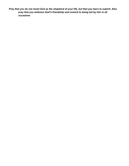*Pray that you do not resist God as the shepherd of your life, but that you learn to submit. Also pray that you embrace God's friendship and commit to being led by him in all occasions*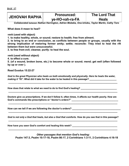### **JEHOVAH RAPHA Pronounced: The Lord That ve-HO-vah-ra-FA**

*Collaborated between Nathan Harrington, Adrien Mobeka, Ona Ichoku, Taylor Martin, Cathy Toro*

**What does it mean to heal?**

*verb* **(used with object)**

**1. to make healthy, whole, or sound; restore to health; free from ailment.**

**2. to bring to an end or conclusion, as conflicts between people or groups, usually with the strong implication of restoring former amity; settle; reconcile: They tried to heal the rift between them but were unsuccessful.**

**3. to free from evil; cleanse; purify: to heal the soul.**

*verb* **(used without object)**

**4. to effect a cure.**

**5. (of a wound, broken bone, etc.) to become whole or sound; mend; get well (often followed by up or over ).**

**Read Exodus 15:22-27**

*God is the great Physician who heals us both emotionally and physically. Here he heals the water, making it "fit".* **What did it take for the water to be healed in this passage? \_\_\_\_\_\_\_\_\_\_\_\_\_\_\_\_\_\_\_\_\_**

**\_\_\_\_\_\_\_\_\_\_\_\_\_\_\_\_\_\_\_\_\_\_\_\_\_\_\_\_\_\_\_\_\_\_\_\_\_\_\_\_\_\_\_\_\_\_\_\_\_\_\_\_\_\_\_\_\_\_\_\_\_\_\_\_\_\_\_\_\_\_\_\_\_\_\_\_\_\_\_\_\_**

**\_\_\_\_\_\_\_\_\_\_\_\_\_\_\_\_\_\_\_\_\_\_\_\_\_\_\_\_\_\_\_\_\_\_\_\_\_\_\_\_\_\_\_\_\_\_\_\_\_\_\_\_\_\_\_\_\_\_\_\_\_\_\_\_\_\_\_\_\_\_\_\_\_\_\_\_\_\_\_\_\_**

**How does that relate to what we need to do to find God's healing? \_\_\_\_\_\_\_\_\_\_\_\_\_\_\_\_\_\_\_\_\_\_\_\_\_\_\_\_**

**Doctors give us prescriptions. If we don't follow it, often times, it affects our health poorly. How are** God's commands like prescriptions or "doctor's orders?"

**\_\_\_\_\_\_\_\_\_\_\_\_\_\_\_\_\_\_\_\_\_\_\_\_\_\_\_\_\_\_\_\_\_\_\_\_\_\_\_\_\_\_\_\_\_\_\_\_\_\_\_\_\_\_\_\_\_\_\_\_\_\_\_\_\_\_\_\_\_\_\_\_\_\_\_\_\_\_\_\_\_**

How can we tell if we are following the doctor's orders?

*God is not only a God that heals, but also a God that comforts.* **How do you see that in this passage? \_\_\_\_\_\_\_\_\_\_\_\_\_\_\_\_\_\_\_\_\_\_\_\_\_\_\_\_\_\_\_\_\_\_\_\_\_\_\_\_\_\_\_\_\_\_\_\_\_\_\_\_\_\_\_\_\_\_\_\_\_\_\_\_\_\_\_\_\_\_\_\_\_\_\_\_\_\_\_\_\_**

**\_\_\_\_\_\_\_\_\_\_\_\_\_\_\_\_\_\_\_\_\_\_\_\_\_\_\_\_\_\_\_\_\_\_\_\_\_\_\_\_\_\_\_\_\_\_\_\_\_\_\_\_\_\_\_\_\_\_\_\_\_\_\_\_\_\_\_\_\_\_\_\_\_\_\_\_\_\_\_\_\_**

**\_\_\_\_\_\_\_\_\_\_\_\_\_\_\_\_\_\_\_\_\_\_\_\_\_\_\_\_\_\_\_\_\_\_\_\_\_\_\_\_\_\_\_\_\_\_\_\_\_\_\_\_\_\_\_\_\_\_\_\_\_\_\_\_\_\_\_\_\_\_\_\_\_\_\_\_\_\_\_\_\_**

**How have you seen God's comfort and healing this week? \_\_\_\_\_\_\_\_\_\_\_\_\_\_\_\_\_\_\_\_\_\_\_\_\_\_\_\_\_\_\_\_\_\_\_**

*Other passages that mention God's healing:*

**Psalm 147:3, Psalm 10:17-18, Psalm 86:17, 2 Corinthians 1:3-11, 2 Corinthians 4:16-18**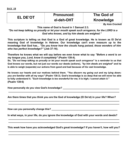|--|

## **EL DE'OT Pronounced: The God of**

## **el-deh-OHT Knowledge**

*By Asia Crockett*

**This name of God is found in 1 Samuel 2:3.**

*"Do not keep talking so proudly or let your mouth speak such arrogance, for the LORD is a God who knows, and by him deeds are weighed."*

**This scripture is telling us that God is a God of great knowledge. He is known as El De'ot meaning God of knowledge in Hebrew. Our knowledge can't even measure up to the knowledge that God has...** *"Do you know how the clouds hang poised, those wonders of him who has perfect knowledge?"* **(Job 37:16).**

**Therefore he knows what we will say before we even know what to say** *"Before a word is on my tongue you, Lord, know it completely"* **(Psalm 139:4).**

**So,** *"Do not keep talking so proudly or let your mouth speak such arrogance"* **is a reminder to us that God knows our words, but not just our words our deeds (actions),** *"by him deeds are weighed"* **and he is able to weigh (separate) our actions from good and bad because of his vast knowledge.**

**He knows our hearts and our motives behind them.** *"You discern my going out and my lying down; you are familiar with all my ways"* **(Psalm 138:3). God's knowledge is so deep that we will never be able to fully understand it.** *"Such knowledge is too wonderful for me; it is high; I cannot attain it."* **(Psalm 139:6)**

**How personally do you view God's knowledge? \_\_\_\_\_\_\_\_\_\_\_\_\_\_\_\_\_\_\_\_\_\_\_\_\_\_\_\_\_\_\_\_\_\_\_\_\_\_\_\_\_\_**

**Are there times that you think you are the God of knowledge (El De'ot) in your life? When?**

**\_\_\_\_\_\_\_\_\_\_\_\_\_\_\_\_\_\_\_\_\_\_\_\_\_\_\_\_\_\_\_\_\_\_\_\_\_\_\_\_\_\_\_\_\_\_\_\_\_\_\_\_\_\_\_\_\_\_\_\_\_\_\_\_\_\_\_\_\_\_\_\_\_\_\_\_\_\_\_**

**\_\_\_\_\_\_\_\_\_\_\_\_\_\_\_\_\_\_\_\_\_\_\_\_\_\_\_\_\_\_\_\_\_\_\_\_\_\_\_\_\_\_\_\_\_\_\_\_\_\_\_\_\_\_\_\_\_\_\_\_\_\_\_\_\_\_\_\_\_\_\_\_\_\_\_\_\_\_\_ \_\_\_\_\_\_\_\_\_\_\_\_\_\_\_\_\_\_\_\_\_\_\_\_\_\_\_\_\_\_\_\_\_\_\_\_\_\_\_\_\_\_\_\_\_\_\_\_\_\_\_\_\_\_\_\_\_\_\_\_\_\_\_\_\_\_\_\_\_\_\_\_\_\_\_\_\_\_\_**

**How can you personally change this? \_\_\_\_\_\_\_\_\_\_\_\_\_\_\_\_\_\_\_\_\_\_\_\_\_\_\_\_\_\_\_\_\_\_\_\_\_\_\_\_\_\_\_\_\_\_\_\_\_**

**In what ways, in your life, do you ignore the knowledge of God with your words and deeds? \_\_\_\_\_\_\_\_\_\_\_\_\_\_\_\_\_\_\_\_\_\_\_\_\_\_\_\_\_\_\_\_\_\_\_\_\_\_\_\_\_\_\_\_\_\_\_\_\_\_\_\_\_\_\_\_\_\_\_\_\_\_\_\_\_\_\_\_\_\_\_\_\_\_\_\_\_\_\_**

**This week how have you acknowledged God's great knowledge? If you haven't, how will you? \_\_\_\_\_\_\_\_\_\_\_\_\_\_\_\_\_\_\_\_\_\_\_\_\_\_\_\_\_\_\_\_\_\_\_\_\_\_\_\_\_\_\_\_\_\_\_\_\_\_\_\_\_\_\_\_\_\_\_\_\_\_\_\_\_\_\_\_\_\_\_\_\_\_\_\_\_\_\_**

**\_\_\_\_\_\_\_\_\_\_\_\_\_\_\_\_\_\_\_\_\_\_\_\_\_\_\_\_\_\_\_\_\_\_\_\_\_\_\_\_\_\_\_\_\_\_\_\_\_\_\_\_\_\_\_\_\_\_\_\_\_\_\_\_\_\_\_\_\_\_\_\_\_\_\_\_\_\_\_**

**\_\_\_\_\_\_\_\_\_\_\_\_\_\_\_\_\_\_\_\_\_\_\_\_\_\_\_\_\_\_\_\_\_\_\_\_\_\_\_\_\_\_\_\_\_\_\_\_\_\_\_\_\_\_\_\_\_\_\_\_\_\_\_\_\_\_\_\_\_\_\_\_\_\_\_\_\_\_\_**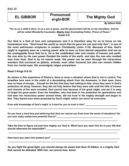## **EL GIBBOR Pronounced: The Mighty God el-ghi-BOR**

*By Edison Rolle*

### *"For to us a child is born, to us a son is given, and the government will be on his shoulders. And he will be called Wonderful Counselor, Mighty God, Everlasting Father, Prince of Peace."* **Isaiah 9:6**

**Our God is a God of love and compassion and it is therefore easy for us to focus on his tremendous love.** *"God loved the world so much that he gave his one and only Son",* **is one of the most well-known scriptures in modern Christianity (John 3:16). Because of this, God's might is regularly seen as a saving power able to save us from eternal separation and not as the unstoppable force that he is. He is the undefeated ruler and creator of heaven and earth, the one who by his own power flooded the lands of the earth, and also the one who molded man from dust. God is by no means weak. His power can be seen through the miraculous wonders that surround us (plants, animals, even other humans) but also can remain hidden from our mortal eyes. His sovereignty reigns everywhere.**

**Read 2 Kings 6:8-18.**

**As shown in this experience of Elisha's, there is never a situation where God is not in control. The Israelites here were in the midst of a devastating attack from the Arameans. In their eyes, there was no hope of escape… Except for the fact that they had nothing to fear, since they were in God's protection all along. However, they did not fully believe that they were safe until the hills of horses and chariots of fire were revealed. God cannot lose because of his great might, and yet it is easy to forget his great power. Even the Israelites, who had been in his protection for generations and had seen his miraculous power several times, did not trust in his mighty strength and began to fear. They feared even when protected by God's might, which can never be overcome.**

**Even with knowledge of God's might, is it hard for you to trust in him? \_\_\_\_\_\_\_\_\_\_\_\_\_\_\_\_\_\_\_\_\_\_\_\_\_**

**Do you have a hard time just believing that God can rescue you from even the worse of situations? Do you ever really realize how powerful God is? \_\_\_\_\_\_\_\_\_\_\_\_\_\_\_\_\_\_\_\_\_\_\_\_\_\_\_\_\_\_\_\_\_\_\_\_\_\_\_\_\_\_\_**

**\_\_\_\_\_\_\_\_\_\_\_\_\_\_\_\_\_\_\_\_\_\_\_\_\_\_\_\_\_\_\_\_\_\_\_\_\_\_\_\_\_\_\_\_\_\_\_\_\_\_\_\_\_\_\_\_\_\_\_\_\_\_\_\_\_\_\_\_\_\_\_\_\_\_\_\_\_\_\_\_\_**

**\_\_\_\_\_\_\_\_\_\_\_\_\_\_\_\_\_\_\_\_\_\_\_\_\_\_\_\_\_\_\_\_\_\_\_\_\_\_\_\_\_\_\_\_\_\_\_\_\_\_\_\_\_\_\_\_\_\_\_\_\_\_\_\_\_\_\_\_\_\_\_\_\_\_\_\_\_\_\_\_\_**

**Take the time to figure out just how mighty our God is. What have you seen him do in your life that should otherwise be impossible? \_\_\_\_\_\_\_\_\_\_\_\_\_\_\_\_\_\_\_\_\_\_\_\_\_\_\_\_\_\_\_\_\_\_\_\_\_\_\_\_\_\_\_\_\_\_\_\_\_\_\_\_\_\_\_**

**\_\_\_\_\_\_\_\_\_\_\_\_\_\_\_\_\_\_\_\_\_\_\_\_\_\_\_\_\_\_\_\_\_\_\_\_\_\_\_\_\_\_\_\_\_\_\_\_\_\_\_\_\_\_\_\_\_\_\_\_\_\_\_\_\_\_\_\_\_\_\_\_\_\_\_\_\_\_\_\_\_**

**\_\_\_\_\_\_\_\_\_\_\_\_\_\_\_\_\_\_\_\_\_\_\_\_\_\_\_\_\_\_\_\_\_\_\_\_\_\_\_\_\_\_\_\_\_\_\_\_\_\_\_\_\_\_\_\_\_\_\_\_\_\_\_\_\_\_\_\_\_\_\_\_\_\_\_\_\_\_\_\_\_**

**How have you seen him protect you? \_\_\_\_\_\_\_\_\_\_\_\_\_\_\_\_\_\_\_\_\_\_\_\_\_\_\_\_\_\_\_\_\_\_\_\_\_\_\_\_\_\_\_\_\_\_\_\_\_\_\_**

**As you fight the good fight, you should always be aware that God, El Gibbor, is a mighty God that cannot be defeated. With him, we cannot lose. Amen**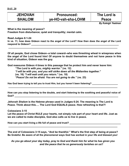| <b>JEHOVAH</b>                | <b>Pronounced:</b> | The Lord is               |
|-------------------------------|--------------------|---------------------------|
| <b>SHALOM</b>                 | ye-HO-vah-sha-LOHM | <b>Peace</b>              |
|                               |                    | <b>By Kaleigh Yeatman</b> |
| What is the meaning of peace? |                    |                           |

**Freedom from disturbance; quiet and tranquility; mental calm.**

**Read Judges 6:1-24**

**In vs. 11, how does Gideon react to the angel of the Lord? How then does the angel of the Lord respond to Gideon? \_\_\_\_\_\_\_\_\_\_\_\_\_\_\_\_\_\_\_\_\_\_\_\_\_\_\_\_\_\_\_\_\_\_\_\_\_\_\_\_\_\_\_\_\_\_\_\_\_\_\_\_\_\_\_\_\_\_\_\_\_\_\_\_\_**

**\_\_\_\_\_\_\_\_\_\_\_\_\_\_\_\_\_\_\_\_\_\_\_\_\_\_\_\_\_\_\_\_\_\_\_\_\_\_\_\_\_\_\_\_\_\_\_\_\_\_\_\_\_\_\_\_\_\_\_\_\_\_\_\_\_\_\_\_\_\_\_\_\_\_\_\_\_\_\_\_\_**

**Of all people, God chose Gideon--a total coward--who was threshing wheat in winepress when the angel of the Lord found him! Of anyone to doubt themselves and not have peace in this kind of situation, Gideon was the guy.**

**God reassures Gideon 4 times in this passage that he protect him and never leave him:** *"The Lord is with you, mighty warrior."* **(vs. 12)** *"I will be with you, and you will strike down all the Midianites together."*  **(vs. 16)** *"I will wait until you return."* **(vs. 18)** *"Peace! Do not be afraid. You are not going to die."* **(vs. 23)**

Has God been trying to tell you to trust Him, but you haven't been listening?

**How can you stop listening to the doubts, and start listening to the soothing and peaceful voice of God? \_\_\_\_\_\_\_\_\_\_\_\_\_\_\_\_\_\_\_\_\_\_\_\_\_\_\_\_\_\_\_\_\_\_\_\_\_\_\_\_\_\_\_\_\_\_\_\_\_\_\_\_\_\_\_\_\_\_\_\_\_\_\_\_\_\_\_\_\_\_\_\_\_\_\_\_\_**

**\_\_\_\_\_\_\_\_\_\_\_\_\_\_\_\_\_\_\_\_\_\_\_\_\_\_\_\_\_\_\_\_\_\_\_\_\_\_\_\_\_\_\_\_\_\_\_\_\_\_\_\_\_\_\_\_\_\_\_\_\_\_\_\_\_\_\_\_\_\_\_\_\_\_\_\_\_\_\_\_\_**

*Jehovah Shalom* **is the Hebrew phrase used in Judges 6:24. The meaning is The Lord is Peace. Think about this…. The Lord God EQUALS peace. How refreshing is that?!**

**Colossians 3:15**

**Let the peace of Christ RULE your hearts, not simply rule part of your heart and life. Just as we are called to make disciples, God also calls us to live in peace.**

**How can you start living a life full of peace and trust? \_\_\_\_\_\_\_\_\_\_\_\_\_\_\_\_\_\_\_\_\_\_\_\_\_\_\_\_\_\_\_\_\_\_\_\_\_\_**

**The end of Colossians 3:15 says, "And be thankful." What's the first step of being at peace? Be Grateful. Be aware of all the phenomenal ways God has worked in your life and blessed you!**

**\_\_\_\_\_\_\_\_\_\_\_\_\_\_\_\_\_\_\_\_\_\_\_\_\_\_\_\_\_\_\_\_\_\_\_\_\_\_\_\_\_\_\_\_\_\_\_\_\_\_\_\_\_\_\_\_\_\_\_\_\_\_\_\_\_\_\_\_\_\_\_\_\_\_\_\_\_\_\_\_\_**

*As you go about your day today, pray to God and thank him for what he has given you and the peace that he so generously lavishes on us!!*